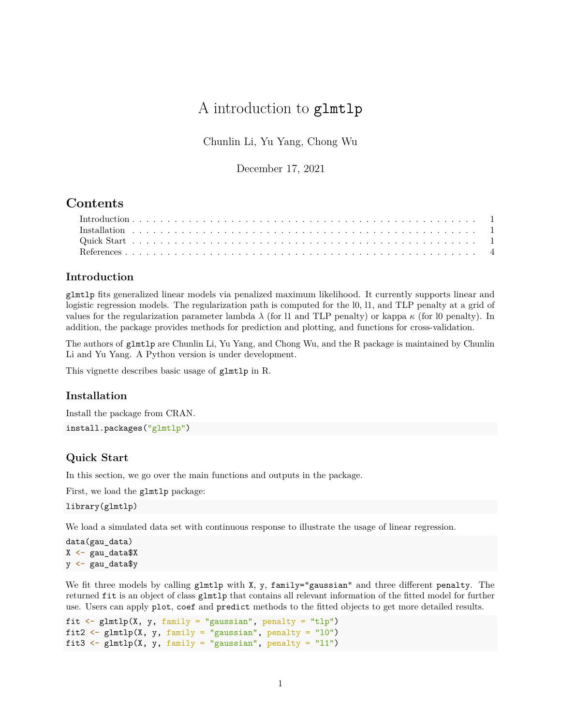# A introduction to glmtlp

Chunlin Li, Yu Yang, Chong Wu

December 17, 2021

## **Contents**

### <span id="page-0-0"></span>**Introduction**

glmtlp fits generalized linear models via penalized maximum likelihood. It currently supports linear and logistic regression models. The regularization path is computed for the 10, 11, and TLP penalty at a grid of values for the regularization parameter lambda  $\lambda$  (for l1 and TLP penalty) or kappa  $\kappa$  (for l0 penalty). In addition, the package provides methods for prediction and plotting, and functions for cross-validation.

The authors of glmtlp are Chunlin Li, Yu Yang, and Chong Wu, and the R package is maintained by Chunlin Li and Yu Yang. A Python version is under development.

This vignette describes basic usage of glmtlp in R.

#### <span id="page-0-1"></span>**Installation**

Install the package from CRAN. install.packages("glmtlp")

#### <span id="page-0-2"></span>**Quick Start**

In this section, we go over the main functions and outputs in the package.

First, we load the glmtlp package:

library(glmtlp)

We load a simulated data set with continuous response to illustrate the usage of linear regression.

```
data(gau_data)
X \leftarrow \text{gau_data}y <- gau_data$y
```
We fit three models by calling glmtlp with X, y, family="gaussian" and three different penalty. The returned fit is an object of class glmtlp that contains all relevant information of the fitted model for further use. Users can apply plot, coef and predict methods to the fitted objects to get more detailed results.

```
fit \leq glmtlp(X, y, family = "gaussian", penalty = "tlp")
fit2 \leftarrow glmtlp(X, y, family = "gaussian", penalty = "10")
fit3 \leftarrow glmtlp(X, y, family = "gaussian", penalty = "11")
```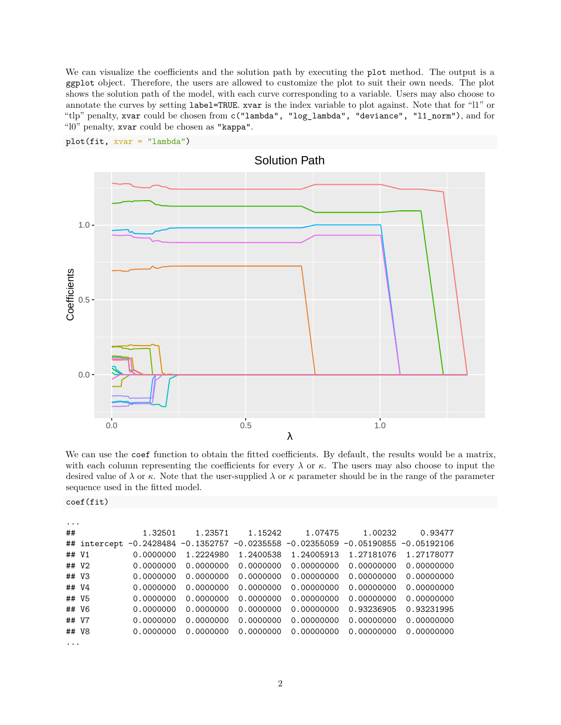We can visualize the coefficients and the solution path by executing the plot method. The output is a ggplot object. Therefore, the users are allowed to customize the plot to suit their own needs. The plot shows the solution path of the model, with each curve corresponding to a variable. Users may also choose to annotate the curves by setting label=TRUE. xvar is the index variable to plot against. Note that for "l1" or "tlp" penalty, xvar could be chosen from c("lambda", "log\_lambda", "deviance", "l1\_norm"), and for "l0" penalty, xvar could be chosen as "kappa".



plot(fit, xvar = "lambda")

We can use the coef function to obtain the fitted coefficients. By default, the results would be a matrix, with each column representing the coefficients for every  $\lambda$  or  $\kappa$ . The users may also choose to input the desired value of  $\lambda$  or  $\kappa$ . Note that the user-supplied  $\lambda$  or  $\kappa$  parameter should be in the range of the parameter sequence used in the fitted model.

coef(fit)

| $\cdot$ $\cdot$ $\cdot$ |              |           |           |           |                                                   |                            |            |
|-------------------------|--------------|-----------|-----------|-----------|---------------------------------------------------|----------------------------|------------|
| ##                      |              | 1.32501   | 1.23571   | 1.15242   | 1.07475                                           | 1.00232                    | 0.93477    |
|                         | ## intercept |           |           |           | $-0.2428484 - 0.1352757 - 0.0235558 - 0.02355059$ | $-0.05190855 - 0.05192106$ |            |
| ## V1                   |              | 0.0000000 | 1.2224980 | 1.2400538 | 1.24005913                                        | 1.27181076                 | 1.27178077 |
| ## V2                   |              | 0.0000000 | 0.0000000 | 0.0000000 | 0.00000000                                        | 0.00000000                 | 0.00000000 |
| ## V3                   |              | 0.0000000 | 0.0000000 | 0.0000000 | 0.00000000                                        | 0.00000000                 | 0.00000000 |
| ## V4                   |              | 0.0000000 | 0.0000000 | 0.0000000 | 0.00000000                                        | 0.00000000                 | 0.00000000 |
| ## V5                   |              | 0.0000000 | 0.0000000 | 0.0000000 | 0.00000000                                        | 0.00000000                 | 0.00000000 |
| ## V6                   |              | 0.0000000 | 0.0000000 | 0.0000000 | 0.00000000                                        | 0.93236905                 | 0.93231995 |
| ## V7                   |              | 0.0000000 | 0.0000000 | 0.0000000 | 0.00000000                                        | 0.00000000                 | 0.00000000 |
| ## V8                   |              | 0.0000000 | 0.0000000 | 0.0000000 | 0.00000000                                        | 0.00000000                 | 0.00000000 |
| $\cdot$                 |              |           |           |           |                                                   |                            |            |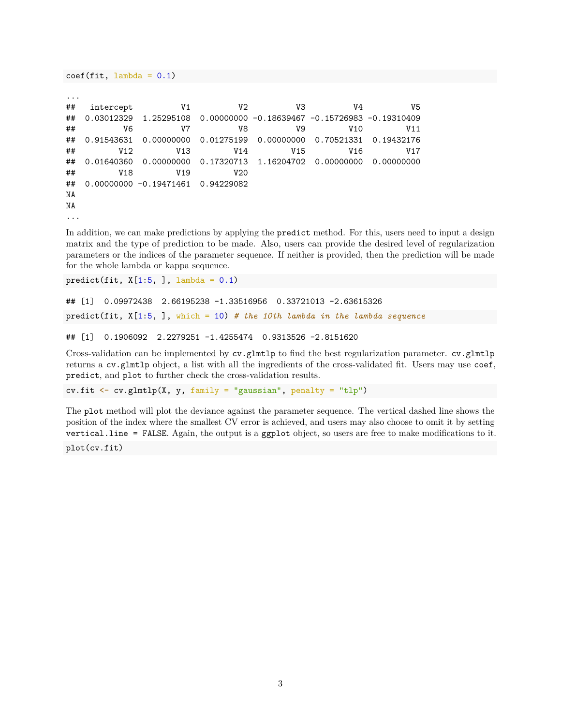```
...
## intercept V1 V2 V3 V4 V5
## 0.03012329 1.25295108 0.00000000 -0.18639467 -0.15726983 -0.19310409
## V6 V7 V8 V9 V10 V11
## 0.91543631 0.00000000 0.01275199 0.00000000 0.70521331 0.19432176
## V12 V13 V14 V15 V16 V17
## 0.01640360 0.00000000 0.17320713 1.16204702 0.00000000 0.00000000
## V18 V19 V20
## 0.00000000 -0.19471461 0.94229082
NA
NA
...
```
In addition, we can make predictions by applying the predict method. For this, users need to input a design matrix and the type of prediction to be made. Also, users can provide the desired level of regularization parameters or the indices of the parameter sequence. If neither is provided, then the prediction will be made for the whole lambda or kappa sequence.

predict(fit,  $X[1:5, ]$ , lambda = 0.1)

 $coef(fit, lambda = 0.1)$ 

```
## [1] 0.09972438 2.66195238 -1.33516956 0.33721013 -2.63615326
predict(fit, X[1:5, ], which = 10) # the 10th lambda in the lambda sequence
```

```
## [1] 0.1906092 2.2279251 -1.4255474 0.9313526 -2.8151620
```
Cross-validation can be implemented by cv.glmtlp to find the best regularization parameter. cv.glmtlp returns a cv.glmtlp object, a list with all the ingredients of the cross-validated fit. Users may use coef, predict, and plot to further check the cross-validation results.

cv.fit  $\leq$  cv.glmtlp(X, y, family = "gaussian", penalty = "tlp")

The plot method will plot the deviance against the parameter sequence. The vertical dashed line shows the position of the index where the smallest CV error is achieved, and users may also choose to omit it by setting vertical.line = FALSE. Again, the output is a ggplot object, so users are free to make modifications to it.

plot(cv.fit)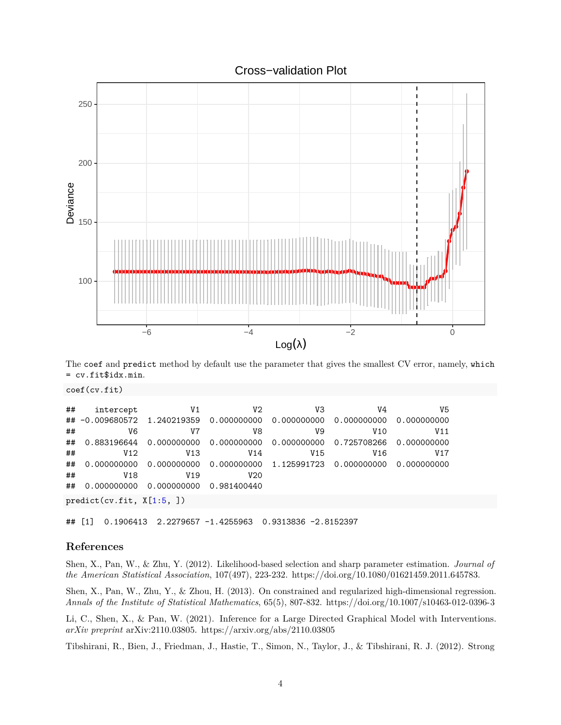



The coef and predict method by default use the parameter that gives the smallest CV error, namely, which = cv.fit\$idx.min.

coef(cv.fit)

| ## | intercept                                                       | V1                                                                  | V2              | VЗ              | V4              | V5              |  |  |  |  |  |
|----|-----------------------------------------------------------------|---------------------------------------------------------------------|-----------------|-----------------|-----------------|-----------------|--|--|--|--|--|
|    | ## -0.009680572 1.240219359 0.000000000 0.000000000 0.000000000 |                                                                     |                 |                 |                 | 0.000000000     |  |  |  |  |  |
| ## | V6                                                              | V7                                                                  | V8              | V9              | V10             | V <sub>11</sub> |  |  |  |  |  |
| ## |                                                                 | $0.883196644$ 0.000000000 0.000000000 0.000000000 0.725708266       |                 |                 |                 | 0.000000000     |  |  |  |  |  |
| ## | V <sub>12</sub>                                                 | V <sub>13</sub>                                                     | V <sub>14</sub> | V <sub>15</sub> | V <sub>16</sub> | V17             |  |  |  |  |  |
| ## |                                                                 | $0.000000000$ $0.000000000$ $0.000000000$ $1.125991723$ 0.000000000 |                 |                 |                 | 0.000000000     |  |  |  |  |  |
| ## | V18                                                             | V <sub>19</sub>                                                     | V20             |                 |                 |                 |  |  |  |  |  |
| ## |                                                                 |                                                                     |                 |                 |                 |                 |  |  |  |  |  |
|    | predict(cv.fit, X[1:5, ])                                       |                                                                     |                 |                 |                 |                 |  |  |  |  |  |

## [1] 0.1906413 2.2279657 -1.4255963 0.9313836 -2.8152397

#### <span id="page-3-0"></span>**References**

Shen, X., Pan, W., & Zhu, Y. (2012). Likelihood-based selection and sharp parameter estimation. *Journal of the American Statistical Association*, 107(497), 223-232. [https://doi.org/10.1080/01621459.2011.645783.](https://doi.org/10.1080/01621459.2011.645783)

Shen, X., Pan, W., Zhu, Y., & Zhou, H. (2013). On constrained and regularized high-dimensional regression. *Annals of the Institute of Statistical Mathematics*, 65(5), 807-832.<https://doi.org/10.1007/s10463-012-0396-3>

Li, C., Shen, X., & Pan, W. (2021). Inference for a Large Directed Graphical Model with Interventions. *arXiv preprint* arXiv:2110.03805.<https://arxiv.org/abs/2110.03805>

Tibshirani, R., Bien, J., Friedman, J., Hastie, T., Simon, N., Taylor, J., & Tibshirani, R. J. (2012). Strong